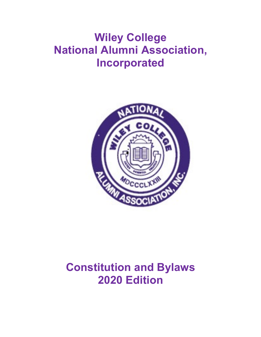# **Wiley College National Alumni Association, Incorporated**



# **Constitution and Bylaws 2020 Edition**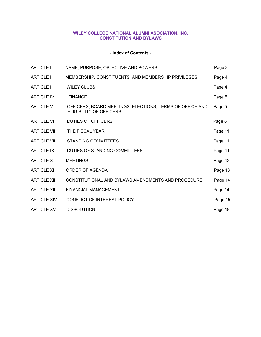## **WILEY COLLEGE NATIONAL ALUMNI ASOCIATION, INC. CONSTITUTION AND BYLAWS**

### **- Index of Contents -**

| <b>ARTICLE I</b>    | NAME, PURPOSE, OBJECTIVE AND POWERS                                                        | Page 3  |
|---------------------|--------------------------------------------------------------------------------------------|---------|
| <b>ARTICLE II</b>   | MEMBERSHIP, CONSTITUENTS, AND MEMBERSHIP PRIVILEGES                                        | Page 4  |
| <b>ARTICLE III</b>  | <b>WILEY CLUBS</b>                                                                         | Page 4  |
| <b>ARTICLE IV</b>   | <b>FINANCE</b>                                                                             | Page 5  |
| <b>ARTICLE V</b>    | OFFICERS, BOARD MEETINGS, ELECTIONS, TERMS OF OFFICE AND<br><b>ELIGIBILITY OF OFFICERS</b> | Page 5  |
| <b>ARTICLE VI</b>   | <b>DUTIES OF OFFICERS</b>                                                                  | Page 6  |
| <b>ARTICLE VII</b>  | THE FISCAL YEAR                                                                            | Page 11 |
| <b>ARTICLE VIII</b> | <b>STANDING COMMITTEES</b>                                                                 | Page 11 |
| <b>ARTICLE IX</b>   | DUTIES OF STANDING COMMITTEES                                                              | Page 11 |
| <b>ARTICLE X</b>    | <b>MEETINGS</b>                                                                            | Page 13 |
| <b>ARTICLE XI</b>   | ORDER OF AGENDA                                                                            | Page 13 |
| <b>ARTICLE XII</b>  | CONSTITUTIONAL AND BYLAWS AMENDMENTS AND PROCEDURE                                         | Page 14 |
| <b>ARTICLE XIII</b> | <b>FINANCIAL MANAGEMENT</b>                                                                | Page 14 |
| <b>ARTICLE XIV</b>  | CONFLICT OF INTEREST POLICY                                                                | Page 15 |
| <b>ARTICLE XV</b>   | <b>DISSOLUTION</b>                                                                         | Page 18 |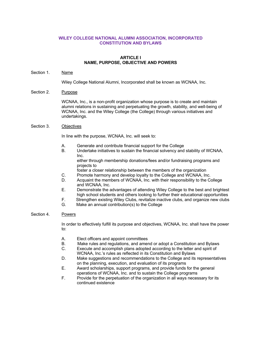# **WILEY COLLEGE NATIONAL ALUMNI ASSOCIATION, INCORPORATED CONSTITUTION AND BYLAWS**

## **ARTICLE I NAME, PURPOSE, OBJECTIVE AND POWERS**

# Section 1. Name

Wiley College National Alumni, Incorporated shall be known as WCNAA, Inc.

#### Section 2. Purpose

WCNAA, Inc., is a non-profit organization whose purpose is to create and maintain alumni relations in sustaining and perpetuating the growth, stability, and well-being of WCNAA, Inc. and the Wiley College (the College) through various initiatives and undertakings.

# Section 3. Objectives

In line with the purpose, WCNAA, Inc. will seek to:

- A. Generate and contribute financial support for the College
- B. Undertake initiatives to sustain the financial solvency and stability of WCNAA, Inc.

 either through membership donations/fees and/or fundraising programs and projects to

foster a closer relationship between the members of the organization

- C. Promote harmony and develop loyalty to the College and WCNAA, Inc.
- D. Acquaint the members of WCNAA, Inc. with their responsibility to the College and WCNAA, Inc.
- E. Demonstrate the advantages of attending Wiley College to the best and brightest high school students and others looking to further their educational opportunities
- F. Strengthen existing Wiley Clubs, revitalize inactive clubs, and organize new clubs
- G. Make an annual contribution(s) to the College

# Section 4. Powers

In order to effectively fulfill its purpose and objectives, WCNAA, Inc. shall have the power to:

- A. Elect officers and appoint committees
- B. Make rules and regulations, and amend or adopt a Constitution and Bylaws
- C. Execute and accomplish plans adopted according to the letter and spirit of WCNAA, Inc.'s rules as reflected in its Constitution and Bylaws
- D. Make suggestions and recommendations to the College and its representatives on the planning, execution, and evaluation of its programs
- E. Award scholarships, support programs, and provide funds for the general operations of WCNAA, Inc. and to sustain the College programs
- F. Provide for the perpetuation of the organization in all ways necessary for its continued existence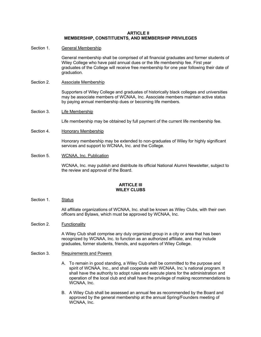## **ARTICLE II MEMBERSHIP, CONSTITUENTS, AND MEMBERSHIP PRIVILEGES**

Section 1. General Membership

General membership shall be comprised of all financial graduates and former students of Wiley College who have paid annual dues or the life membership fee. First year graduates of the College will receive free membership for one year following their date of graduation.

Section 2. Associate Membership

Supporters of Wiley College and graduates of historically black colleges and universities may be associate members of WCNAA, Inc. Associate members maintain active status by paying annual membership dues or becoming life members.

Section 3. Life Membership

Life membership may be obtained by full payment of the current life membership fee.

Section 4. Honorary Membership

Honorary membership may be extended to non-graduates of Wiley for highly significant services and support to WCNAA, Inc. and the College.

Section 5. WCNAA, Inc. Publication

WCNAA, Inc. may publish and distribute its official National Alumni Newsletter, subject to the review and approval of the Board.

# **ARTICLE III WILEY CLUBS**

Section 1. Status

All affiliate organizations of WCNAA, Inc. shall be known as Wiley Clubs, with their own officers and Bylaws, which must be approved by WCNAA, Inc.

# Section 2. Functionality

A Wiley Club shall comprise any duly organized group in a city or area that has been recognized by WCNAA, Inc. to function as an authorized affiliate, and may include graduates, former students, friends, and supporters of Wiley College.

# Section 3. Requirements and Powers

- A. To remain in good standing, a Wiley Club shall be committed to the purpose and spirit of WCNAA, Inc., and shall cooperate with WCNAA, Inc.'s national program. It shall have the authority to adopt rules and execute plans for the administration and operation of the local club and shall have the privilege of making recommendations to WCNAA, Inc.
- B. A Wiley Club shall be assessed an annual fee as recommended by the Board and approved by the general membership at the annual Spring/Founders meeting of WCNAA, Inc.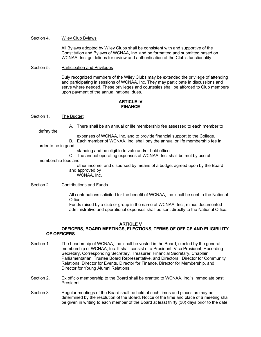#### . Section 4. Wiley Club Bylaws

All Bylaws adopted by Wiley Clubs shall be consistent with and supportive of the Constitution and Bylaws of WCNAA, Inc. and be formatted and submitted based on WCNAA, Inc. guidelines for review and authentication of the Club's functionality.

# Section 5. Participation and Privileges

Duly recognized members of the Wiley Clubs may be extended the privilege of attending and participating in sessions of WCNAA, Inc. They may participate in discussions and serve where needed. These privileges and courtesies shall be afforded to Club members upon payment of the annual national dues.

# **ARTICLE IV FINANCE**

# Section 1. The Budget

A. There shall be an annual or life membership fee assessed to each member to

expenses of WCNAA, Inc. and to provide financial support to the College. B. Each member of WCNAA, Inc. shall pay the annual or life membership fee in

order to be in good

defray the

standing and be eligible to vote and/or hold office.

C. The annual operating expenses of WCNAA, Inc. shall be met by use of membership fees and

> other income, and disbursed by means of a budget agreed upon by the Board and approved by WCNAA, Inc.

# Section 2. Contributions and Funds

All contributions solicited for the benefit of WCNAA, Inc. shall be sent to the National Office.

Funds raised by a club or group in the name of WCNAA, Inc., minus documented administrative and operational expenses shall be sent directly to the National Office.

# **ARTICLE V**

# **OFFICERS, BOARD MEETINGS, ELECTIONS, TERMS OF OFFICE AND ELIGIBILITY OF OFFICERS**

- Section 1. The Leadership of WCNAA, Inc. shall be vested in the Board, elected by the general membership of WCNAA, Inc. It shall consist of a President, Vice President, Recording Secretary, Corresponding Secretary, Treasurer, Financial Secretary, Chaplain, Parliamentarian, Trustee Board Representative, and Directors: Director for Community Relations, Director for Events, Director for Finance, Director for Membership, and Director for Young Alumni Relations.
- Section 2. Ex officio membership to the Board shall be granted to WCNAA, Inc.'s immediate past President.
- Section 3. Regular meetings of the Board shall be held at such times and places as may be determined by the resolution of the Board. Notice of the time and place of a meeting shall be given in writing to each member of the Board at least thirty (30) days prior to the date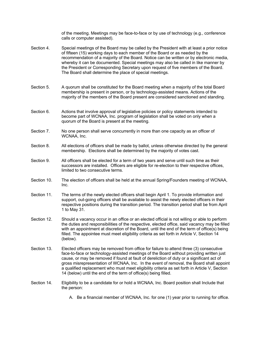of the meeting. Meetings may be face-to-face or by use of technology (e.g., conference calls or computer assisted).

- Section 4. Special meetings of the Board may be called by the President with at least a prior notice of fifteen (15) working days to each member of the Board or as needed by the recommendation of a majority of the Board. Notice can be written or by electronic media, whereby it can be documented. Special meetings may also be called in like manner by the President or Corresponding Secretary upon request of five members of the Board. The Board shall determine the place of special meetings.
- Section 5. A quorum shall be constituted for the Board meeting when a majority of the total Board membership is present in person, or by technology-assisted means. Actions of the majority of the members of the Board present are considered sanctioned and standing.
- Section 6. Actions that involve approval of legislative policies or policy statements intended to become part of WCNAA, Inc. program of legislation shall be voted on only when a quorum of the Board is present at the meeting.
- Section 7. No one person shall serve concurrently in more than one capacity as an officer of WCNAA, Inc.
- Section 8. All elections of officers shall be made by ballot, unless otherwise directed by the general membership. Elections shall be determined by the majority of votes cast.
- Section 9. All officers shall be elected for a term of two years and serve until such time as their successors are installed. Officers are eligible for re-election to their respective offices, limited to two consecutive terms.
- Section 10. The election of officers shall be held at the annual Spring/Founders meeting of WCNAA, Inc.
- Section 11. The terms of the newly elected officers shall begin April 1. To provide information and support, out-going officers shall be available to assist the newly elected officers in their respective positions during the transition period. The transition period shall be from April 1 to May 31.
- Section 12. Should a vacancy occur in an office or an elected official is not willing or able to perform the duties and responsibilities of the respective, elected office, said vacancy may be filled with an appointment at discretion of the Board, until the end of the term of office(s) being filled. The appointee must meet eligibility criteria as set forth in Article V, Section 14 (below).
- Section 13. Elected officers may be removed from office for failure to attend three (3) consecutive face-to-face or technology-assisted meetings of the Board without providing written just cause, or may be removed if found at fault of dereliction of duty or a significant act of gross misrepresentation of WCNAA, Inc. In the event of removal, the Board shall appoint a qualified replacement who must meet eligibility criteria as set forth in Article V, Section 14 (below) until the end of the term of office(s) being filled.
- Section 14. Eligibility to be a candidate for or hold a WCNAA, Inc. Board position shall Include that the person:
	- A. Be a financial member of WCNAA, Inc. for one (1) year prior to running for office.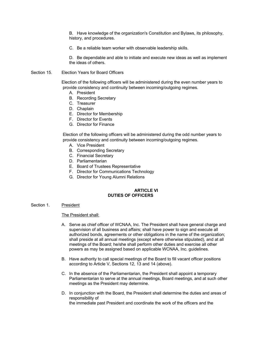B. Have knowledge of the organization's Constitution and Bylaws, its philosophy, history, and procedures.

C. Be a reliable team worker with observable leadership skills.

D. Be dependable and able to initiate and execute new ideas as well as implement the ideas of others.

Section 15. Election Years for Board Officers

Election of the following officers will be administered during the even number years to provide consistency and continuity between incoming/outgoing regimes.

- A. President
- B. Recording Secretary
- C. Treasurer
- D. Chaplain
- E. Director for Membership
- F. Director for Events
- G. Director for Finance

 Election of the following officers will be administered during the odd number years to provide consistency and continuity between incoming/outgoing regimes.

- A. Vice President
- B. Corresponding Secretary
- C. Financial Secretary
- D. Parliamentarian
- E. Board of Trustees Representative
- F. Director for Communications Technology
- G. Director for Young Alumni Relations

## **ARTICLE VI DUTIES OF OFFICERS**

#### Section 1. President

#### The President shall:

- A. Serve as chief officer of WCNAA, Inc. The President shall have general charge and supervision of all business and affairs; shall have power to sign and execute all authorized bonds, agreements or other obligations in the name of the organization; shall preside at all annual meetings (except where otherwise stipulated), and at all meetings of the Board; he/she shall perform other duties and exercise all other powers as may be assigned based on applicable WCNAA, Inc. guidelines.
- B. Have authority to call special meetings of the Board to fill vacant officer positions according to Article V, Sections 12, 13 and 14 (above).
- C. In the absence of the Parliamentarian, the President shall appoint a temporary Parliamentarian to serve at the annual meetings, Board meetings, and at such other meetings as the President may determine.
- D. In conjunction with the Board, the President shall determine the duties and areas of responsibility of the immediate past President and coordinate the work of the officers and the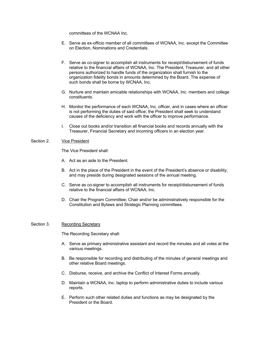committees of the WCNAA Inc.

- E. Serve as ex-officio member of all committees of WCNAA, Inc. except the Committee on Election, Nominations and Credentials.
- F. Serve as co-signer to accomplish all instruments for receipt/disbursement of funds relative to the financial affairs of WCNAA, Inc. The President, Treasurer, and all other persons authorized to handle funds of the organization shall furnish to the organization fidelity bonds in amounts determined by the Board. The expense of such bonds shall be borne by WCNAA, Inc.
- G. Nurture and maintain amicable relationships with WCNAA, Inc. members and college constituents.
- H. Monitor the performance of each WCNAA, Inc. officer, and in cases where an officer is not performing the duties of said office; the President shall seek to understand causes of the deficiency and work with the officer to improve performance.
- I. Close out books and/or transition all financial books and records annually with the Treasurer, Financial Secretary and incoming officers in an election year.

# Section 2. Vice President

The Vice President shall:

- A. Act as an aide to the President.
- B. Act in the place of the President in the event of the President's absence or disability; and may preside during designated sessions of the annual meeting.
- C. Serve as co-signer to accomplish all instruments for receipt/disbursement of funds relative to the financial affairs of WCNAA, Inc.
- D. Chair the Program Committee; Chair and/or be administratively responsible for the Constitution and Bylaws and Strategic Planning committees.

#### Section 3. Recording Secretary

The Recording Secretary shall:

- A. Serve as primary administrative assistant and record the minutes and all votes at the various meetings.
- B. Be responsible for recording and distributing of the minutes of general meetings and other relative Board meetings.
- C. Disburse, receive, and archive the Conflict of Interest Forms annually.
- D. Maintain a WCNAA, Inc. laptop to perform administrative duties to include various reports.
- E. Perform such other related duties and functions as may be designated by the President or the Board.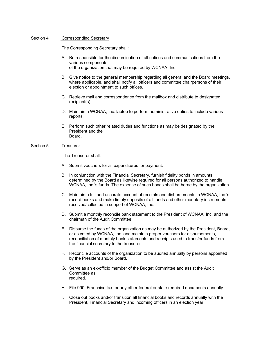#### Section 4 Corresponding Secretary

The Corresponding Secretary shall:

- A. Be responsible for the dissemination of all notices and communications from the various components of the organization that may be required by WCNAA, Inc.
- B. Give notice to the general membership regarding all general and the Board meetings, where applicable, and shall notify all officers and committee chairpersons of their election or appointment to such offices.
- C. Retrieve mail and correspondence from the mailbox and distribute to designated recipient(s).
- D. Maintain a WCNAA, Inc. laptop to perform administrative duties to include various reports.
- E. Perform such other related duties and functions as may be designated by the President and the Board.

# Section 5. Treasurer

The Treasurer shall:

- A. Submit vouchers for all expenditures for payment.
- B. In conjunction with the Financial Secretary, furnish fidelity bonds in amounts determined by the Board as likewise required for all persons authorized to handle WCNAA, Inc.'s funds. The expense of such bonds shall be borne by the organization.
- C. Maintain a full and accurate account of receipts and disbursements in WCNAA, Inc.'s record books and make timely deposits of all funds and other monetary instruments received/collected in support of WCNAA, Inc.
- D. Submit a monthly reconcile bank statement to the President of WCNAA, Inc. and the chairman of the Audit Committee.
- E. Disburse the funds of the organization as may be authorized by the President, Board, or as voted by WCNAA, Inc. and maintain proper vouchers for disbursements, reconciliation of monthly bank statements and receipts used to transfer funds from the financial secretary to the treasurer.
- F. Reconcile accounts of the organization to be audited annually by persons appointed by the President and/or Board.
- G. Serve as an ex-officio member of the Budget Committee and assist the Audit Committee as required.
- H. File 990, Franchise tax, or any other federal or state required documents annually.
- I. Close out books and/or transition all financial books and records annually with the President, Financial Secretary and incoming officers in an election year.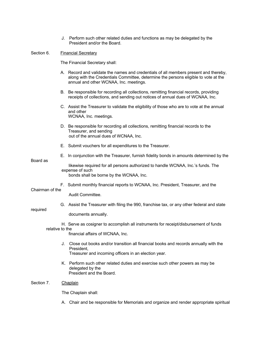- J. Perform such other related duties and functions as may be delegated by the President and/or the Board.
- Section 6. Financial Secretary

The Financial Secretary shall:

- A. Record and validate the names and credentials of all members present and thereby, along with the Credentials Committee, determine the persons eligible to vote at the annual and other WCNAA, Inc. meetings.
- B. Be responsible for recording all collections, remitting financial records, providing receipts of collections, and sending out notices of annual dues of WCNAA, Inc.
- C. Assist the Treasurer to validate the eligibility of those who are to vote at the annual and other WCNAA, Inc. meetings.
- D. Be responsible for recording all collections, remitting financial records to the Treasurer, and sending out of the annual dues of WCNAA, Inc.
- E. Submit vouchers for all expenditures to the Treasurer.
- E. In conjunction with the Treasurer, furnish fidelity bonds in amounts determined by the

Board as

- likewise required for all persons authorized to handle WCNAA, Inc.'s funds. The expense of such bonds shall be borne by the WCNAA, Inc.
- F. Submit monthly financial reports to WCNAA, Inc. President, Treasurer, and the

# Chairman of the

Audit Committee.

#### required

documents annually.

H. Serve as cosigner to accomplish all instruments for receipt/disbursement of funds relative to the

financial affairs of WCNAA, Inc.

J. Close out books and/or transition all financial books and records annually with the President,

G. Assist the Treasurer with filing the 990, franchise tax, or any other federal and state

- Treasurer and incoming officers in an election year.
- K. Perform such other related duties and exercise such other powers as may be delegated by the President and the Board.
- Section 7. Chaplain

The Chaplain shall:

A. Chair and be responsible for Memorials and organize and render appropriate spiritual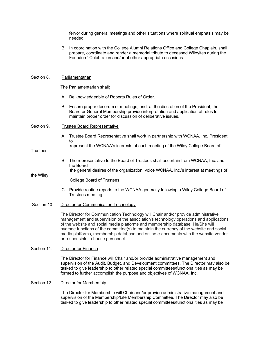fervor during general meetings and other situations where spiritual emphasis may be needed.

B. In coordination with the College Alumni Relations Office and College Chaplain, shall prepare, coordinate and render a memorial tribute to deceased Wileyites during the Founders' Celebration and/or at other appropriate occasions.

#### Section 8. Parliamentarian

The Parliamentarian shall:

- A. Be knowledgeable of Roberts Rules of Order.
- B. Ensure proper decorum of meetings; and, at the discretion of the President, the Board or General Membership provide interpretation and application of rules to maintain proper order for discussion of deliberative issues.
- Section 9. Trustee Board Representative
	- A. Trustee Board Representative shall work in partnership with WCNAA, Inc. President to

```
 represent the WCNAA's interests at each meeting of the Wiley College Board of
```
#### Trustees.

B. The representative to the Board of Trustees shall ascertain from WCNAA, Inc. and the Board the general desires of the organization; voice WCNAA, Inc.'s interest at meetings of

#### the Wiley

College Board of Trustees

- C. Provide routine reports to the WCNAA generally following a Wiley College Board of Trustees meeting.
- Section 10 Director for Communication Technology

The Director for Communication Technology will Chair and/or provide administrative management and supervision of the association's technology operations and applications of the website and social media platforms and membership database. He/She will oversee functions of the committee(s) to maintain the currency of the website and social media platforms, membership database and online e-documents with the website vendor or responsible in-house personnel.

# Section 11. Director for Finance

The Director for Finance will Chair and/or provide administrative management and supervision of the Audit, Budget, and Development committees. The Director may also be tasked to give leadership to other related special committees/functionalities as may be formed to further accomplish the purpose and objectives of WCNAA, Inc.

#### Section 12. Director for Membership

The Director for Membership will Chair and/or provide administrative management and supervision of the Membership/Life Membership Committee. The Director may also be tasked to give leadership to other related special committees/functionalities as may be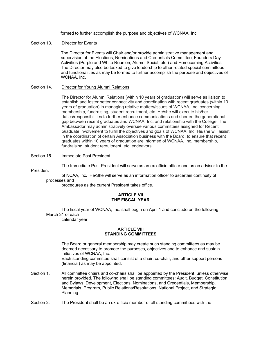formed to further accomplish the purpose and objectives of WCNAA, Inc.

## Section 13. Director for Events

The Director for Events will Chair and/or provide administrative management and supervision of the Elections, Nominations and Credentials Committee, Founders Day Activities (Purple and White Reunion, Alumni Social, etc.) and Homecoming Activities. The Director may also be tasked to give leadership to other related special committees and functionalities as may be formed to further accomplish the purpose and objectives of WCNAA, Inc.

# Section 14. Director for Young Alumni Relations

The Director for Alumni Relations (within 10 years of graduation) will serve as liaison to establish and foster better connectivity and coordination with recent graduates (within 10 years of graduation) in managing relative matters/issues of WCNAA, Inc. concerning membership, fundraising, student recruitment, etc. He/she will execute his/her duties/responsibilities to further enhance communications and shorten the generational gap between recent graduates and WCNAA, Inc. and relationship with the College. The Ambassador may administratively oversee various committees assigned for Recent Graduate involvement to fulfill the objectives and goals of WCNAA, Inc. He/she will assist in the coordination of certain Association business with the Board, to ensure that recent graduates within 10 years of graduation are informed of WCNAA, Inc. membership, fundraising, student recruitment, etc. endeavors.

#### Section 15. Immediate Past President

The Immediate Past President will serve as an ex-officio officer and as an advisor to the

President

of NCAA, inc. He/She will serve as an information officer to ascertain continuity of processes and

procedures as the current President takes office.

### **ARTICLE VII THE FISCAL YEAR**

The fiscal year of WCNAA, Inc. shall begin on April 1 and conclude on the following March 31 of each

calendar year.

## **ARTICLE VIII STANDING COMMITTEES**

The Board or general membership may create such standing committees as may be deemed necessary to promote the purposes, objectives and to enhance and sustain initiatives of WCNAA, Inc. Each standing committee shall consist of a chair, co-chair, and other support persons (financial) as may be appointed.

- Section 1. All committee chairs and co-chairs shall be appointed by the President, unless otherwise herein provided. The following shall be standing committees: Audit, Budget, Constitution and Bylaws, Development, Elections, Nominations, and Credentials, Membership, Memorials, Program, Public Relations/Resolutions, National Project, and Strategic Planning.
- Section 2. The President shall be an ex-officio member of all standing committees with the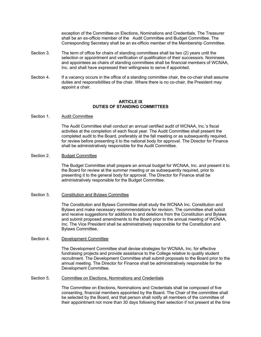exception of the Committee on Elections, Nominations and Credentials. The Treasurer shall be an ex-officio member of the Audit Committee and Budget Committee. The Corresponding Secretary shall be an ex-officio member of the Membership Committee.

- Section 3. The term of office for chairs of standing committees shall be two (2) years until the selection or appointment and verification of qualification of their successors. Nominees and appointees as chairs of standing committees shall be financial members of WCNAA, Inc. and shall have expressed their willingness to serve if appointed.
- Section 4. If a vacancy occurs in the office of a standing committee chair, the co-chair shall assume duties and responsibilities of the chair. Where there is no co-chair, the President may appoint a chair.

#### **ARTICLE IX DUTIES OF STANDING COMMITTEES**

#### Section 1. Audit Committee

The Audit Committee shall conduct an annual certified audit of WCNAA, Inc.'s fiscal activities at the completion of each fiscal year. The Audit Committee shall present the completed audit to the Board, preferably at the fall meeting or as subsequently required, for review before presenting it to the national body for approval. The Director for Finance shall be administratively responsible for the Audit Committee.

# Section 2. Budget Committee

The Budget Committee shall prepare an annual budget for WCNAA, Inc. and present it to the Board for review at the summer meeting or as subsequently required, prior to presenting it to the general body for approval. The Director for Finance shall be administratively responsible for the Budget Committee.

#### Section 3. Constitution and Bylaws Committee

The Constitution and Bylaws Committee shall study the WCNAA Inc. Constitution and Bylaws and make necessary recommendations for revision. The committee shall solicit and receive suggestions for additions to and deletions from the Constitution and Bylaws and submit proposed amendments to the Board prior to the annual meeting of WCNAA, Inc. The Vice President shall be administratively responsible for the Constitution and Bylaws Committee.

#### Section 4. Development Committee

The Development Committee shall devise strategies for WCNAA, Inc. for effective fundraising projects and provide assistance to the College relative to quality student recruitment. The Development Committee shall submit proposals to the Board prior to the annual meeting. The Director for Finance shall be administratively responsible for the Development Committee.

#### Section 5. Committee on Elections, Nominations and Credentials

The Committee on Elections, Nominations and Credentials shall be composed of five consenting, financial members appointed by the Board. The Chair of the committee shall be selected by the Board, and that person shall notify all members of the committee of their appointment not more than 30 days following their selection if not present at the time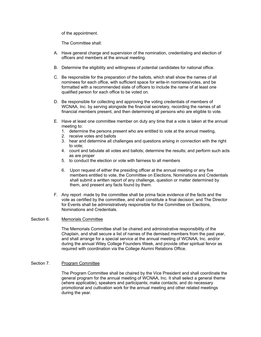of the appointment.

The Committee shall:

- A. Have general charge and supervision of the nomination, credentialing and election of officers and members at the annual meeting.
- B. Determine the eligibility and willingness of potential candidates for national office.
- C. Be responsible for the preparation of the ballots, which shall show the names of all nominees for each office, with sufficient space for write-in nominees/votes, and be formatted with a recommended slate of officers to include the name of at least one qualified person for each office to be voted on.
- D. Be responsible for collecting and approving the voting credentials of members of WCNAA, Inc. by serving alongside the financial secretary, recording the names of all financial members present, and then determining all persons who are eligible to vote.
- E. Have at least one committee member on duty any time that a vote is taken at the annual meeting to:
	- 1. determine the persons present who are entitled to vote at the annual meeting,
	- 2. receive votes and ballots
	- 3. hear and determine all challenges and questions arising in connection with the right to vote;
	- 4. count and tabulate all votes and ballots; determine the results; and perform such acts as are proper
	- 5. to conduct the election or vote with fairness to all members
	- 6. Upon request of either the presiding officer at the annual meeting or any five members entitled to vote, the Committee on Elections, Nominations and Credentials shall submit a written report of any challenge, question or matter determined by them, and present any facts found by them.
- F. Any report made by the committee shall be prima facie evidence of the facts and the vote as certified by the committee, and shall constitute a final decision; and The Director for Events shall be administratively responsible for the Committee on Elections, Nominations and Credentials.

# Section 6. Memorials Committee

The Memorials Committee shall be chaired and administrative responsibility of the Chaplain, and shall secure a list of names of the demised members from the past year, and shall arrange for a special service at the annual meeting of WCNAA, Inc. and/or during the annual Wiley College Founders Week, and provide other spiritual fervor as required with coordination via the College Alumni Relations Office.

# Section 7. Program Committee

The Program Committee shall be chaired by the Vice President and shall coordinate the general program for the annual meeting of WCNAA, Inc. It shall select a general theme (where applicable), speakers and participants; make contacts; and do necessary promotional and cultivation work for the annual meeting and other related meetings during the year.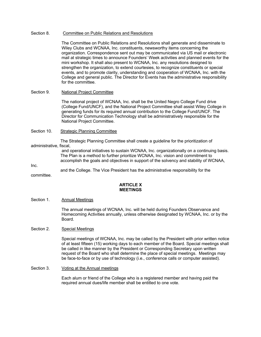#### Section 8. Committee on Public Relations and Resolutions

The Committee on Public Relations and Resolutions shall generate and disseminate to Wiley Clubs and WCNAA, Inc. constituents, newsworthy items concerning the organization. Correspondence sent out may be communicated via US mail or electronic mail at strategic times to announce Founders' Week activities and planned events for the mini workshop. It shall also present to WCNAA, Inc. any resolutions designed to strengthen the organization, to extend courtesies, to recognize constituents or special events, and to promote clarity, understanding and cooperation of WCNAA, Inc. with the College and general public. The Director for Events has the administrative responsibility for the committee.

#### Section 9. National Project Committee

The national project of WCNAA, Inc. shall be the United Negro College Fund drive (College Fund/UNCF), and the National Project Committee shall assist Wiley College in generating funds for its required annual contribution to the College Fund/UNCF. The Director for Communication Technology shall be administratively responsible for the National Project Committee.

Section 10. Strategic Planning Committee

The Strategic Planning Committee shall create a guideline for the prioritization of

administrative, fiscal,

 and operational initiatives to sustain WCNAA, Inc. organizationally on a continuing basis. The Plan is a method to further prioritize WCNAA, Inc. vision and commitment to accomplish the goals and objectives in support of the solvency and stability of WCNAA,

Inc.

and the College. The Vice President has the administrative responsibility for the

committee.

# **ARTICLE X MEETINGS**

# Section 1. Annual Meetings

The annual meetings of WCNAA, Inc. will be held during Founders Observance and Homecoming Activities annually, unless otherwise designated by WCNAA, Inc. or by the Board.

# Section 2. Special Meetings

Special meetings of WCNAA, Inc. may be called by the President with prior written notice of at least fifteen (15) working days to each member of the Board. Special meetings shall be called in like manner by the President or Corresponding Secretary upon written request of the Board who shall determine the place of special meetings. Meetings may be face-to-face or by use of technology (i.e., conference calls or computer assisted).

Section 3. Voting at the Annual meetings

Each alum or friend of the College who is a registered member and having paid the required annual dues/life member shall be entitled to one vote.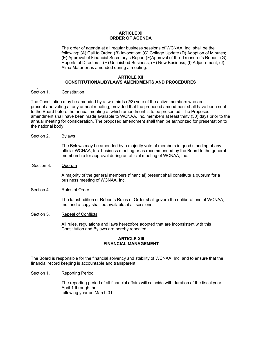#### **ARTICLE XI ORDER OF AGENDA**

The order of agenda at all regular business sessions of WCNAA, Inc. shall be the following: (A) Call to Order; (B) Invocation; (C) College Update (D) Adoption of Minutes; (E) Approval of Financial Secretary's Report (F)Approval of the Treasurer's Report (G) Reports of Directors; (H) Unfinished Business; (H) New Business; (I) Adjournment; (J) Alma Mater or as amended during a meeting.

# **ARTICLE XII CONSTITUTIONAL/BYLAWS AMENDMENTS AND PROCEDURES**

#### . Section 1. Constitution

The Constitution may be amended by a two-thirds (2/3) vote of the active members who are present and voting at any annual meeting, provided that the proposed amendment shall have been sent to the Board before the annual meeting at which amendment is to be presented. The Proposed amendment shall have been made available to WCNAA, Inc. members at least thirty (30) days prior to the annual meeting for consideration. The proposed amendment shall then be authorized for presentation to the national body.

# Section 2. Bylaws

The Bylaws may be amended by a majority vote of members in good standing at any official WCNAA, Inc. business meeting or as recommended by the Board to the general membership for approval during an official meeting of WCNAA, Inc.

# Section 3. Quorum

A majority of the general members (financial) present shall constitute a quorum for a business meeting of WCNAA, Inc.

# Section 4. Rules of Order

The latest edition of Robert's Rules of Order shall govern the deliberations of WCNAA, Inc. and a copy shall be available at all sessions.

# Section 5. Repeal of Conflicts

All rules, regulations and laws heretofore adopted that are inconsistent with this Constitution and Bylaws are hereby repealed.

# **ARTICLE XIII FINANCIAL MANAGEMENT**

The Board is responsible for the financial solvency and stability of WCNAA, Inc. and to ensure that the financial record keeping is accountable and transparent.

# Section 1. Reporting Period

The reporting period of all financial affairs will coincide with duration of the fiscal year, April 1 through the following year on March 31.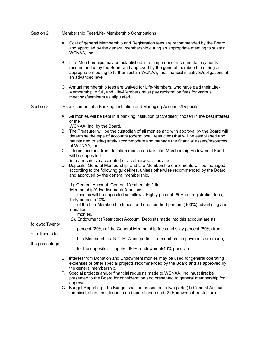### Section 2. Membership Fees/Life- Membership Contributions

- A. Cost of general Membership and Registration fees are recommended by the Board and approved by the general membership during an appropriate meeting to sustain WCNAA, Inc.
- B. Life- Memberships may be established in a lump-sum or incremental payments recommended by the Board and approved by the general membership during an appropriate meeting to further sustain WCNAA, Inc. financial initiatives/obligations at an advanced level.
- C. Annual membership fees are waived for Life-Members, who have paid their Life-Membership in full, and Life-Members must pay registration fees for various meetings/seminars as stipulated.

#### Section 3. Establishment of a Banking Institution and Managing Accounts/Deposits

- A. All monies will be kept in a banking institution (accredited) chosen in the best interest of the
	- WCNAA, Inc. by the Board.
- B. The Treasurer will be the custodian of all monies and with approval by the Board will determine the type of accounts (operational; restricted) that will be established and maintained to adequately accommodate and manage the financial assets/resources of WCNAA, Inc.
- C. Interest accrued from donation monies and/or Life- Membership Endowment Fund will be deposited
	- into a restrictive account(s) or as otherwise stipulated.
- D. Deposits, General Membership, and Life-Membership enrollments will be managed according to the following guidelines, unless otherwise recommended by the Board and approved by the general membership.

1). General Account: General Membership /Life-

Membership/Advertisement/Donations

 monies will be deposited as follows: Eighty percent (80%) of registration fees, forty percent (40%)

- of the Life-Membership funds, and one hundred percent (100%) advertising and donation
	- monies.
- 2). Endowment (Restricted) Account: Deposits made into this account are as

# percent (20%) of the General Membership fees and sixty percent (60%) from

enrollments for the percentage

follows: Twenty

Life-Memberships. NOTE: When partial life- membership payments are made,

for the deposits still apply- (60%- endowment/40%-general)

- E. Interest from Donation and Endowment monies may be used for general operating expenses or other special projects recommended by the Board and as approved by the general membership.
- F. Special projects and/or financial requests made to WCNAA, Inc. must first be presented to the Board for consideration and presented to general membership for approval.
- G. Budget Reporting: The Budget shall be presented in two parts (1) General Account (administration, maintenance and operational) and (2) Endowment (restricted).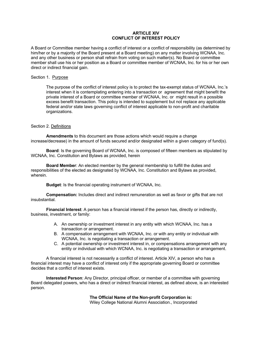# **ARTICLE XIV CONFLICT OF INTEREST POLICY**

A Board or Committee member having a conflict of interest or a conflict of responsibility (as determined by him/her or by a majority of the Board present at a Board meeting) on any matter involving WCNAA, Inc. and any other business or person shall refrain from voting on such matter(s). No Board or committee member shall use his or her position as a Board or committee member of WCNAA, Inc. for his or her own direct or indirect financial gain.

# Section 1. Purpose

The purpose of the conflict of interest policy is to protect the tax-exempt status of WCNAA, Inc.'s interest when it is contemplating entering into a transaction or agreement that might benefit the private interest of a Board or committee member of WCNAA, Inc. or might result in a possible excess benefit transaction. This policy is intended to supplement but not replace any applicable federal and/or state laws governing conflict of interest applicable to non-profit and charitable organizations.

#### Section 2. Definitions

**Amendments** to this document are those actions which would require a change increase/decrease) in the amount of funds secured and/or designated within a given category of fund(s).

**Board**: Is the governing Board of WCNAA, Inc. is composed of fifteen members as stipulated by WCNAA, Inc. Constitution and Bylaws as provided, herein

**Board Member**: An elected member by the general membership to fulfill the duties and responsibilities of the elected as designated by WCNAA, Inc. Constitution and Bylaws as provided, wherein.

**Budget**: Is the financial operating instrument of WCNAA, Inc.

**Compensation:** Includes direct and indirect remuneration as well as favor or gifts that are not insubstantial.

**Financial Interest**: A person has a financial interest if the person has, directly or indirectly, business, investment, or family:

- A. An ownership or investment interest in any entity with which WCNAA, Inc. has a transaction or arrangement.
- B. A compensation arrangement with WCNAA, Inc. or with any entity or individual with WCNAA, Inc. is negotiating a transaction or arrangement.
- C. A potential ownership or investment interest in, or compensations arrangement with any entity or individual with which WCNAA, Inc. is negotiating a transaction or arrangement.

A financial interest is not necessarily a conflict of interest. Article XIV, a person who has a financial interest may have a conflict of interest only if the appropriate governing Board or committee decides that a conflict of interest exists.

**Interested Person**: Any Director, principal officer, or member of a committee with governing Board delegated powers, who has a direct or indirect financial interest, as defined above, is an interested person.

> **The Official Name of the Non-profit Corporation is:** Wiley College National Alumni Association., Incorporated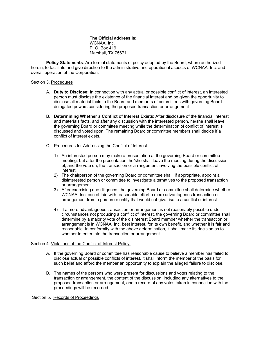**The Official address is**: WCNAA, Inc. P. O. Box 419 Marshall, TX 75671

**Policy Statements**: Are formal statements of policy adopted by the Board, where authorized herein, to facilitate and give direction to the administrative and operational aspects of WCNAA, Inc. and overall operation of the Corporation.

## Section 3. Procedures

- A. **Duty to Disclose:** In connection with any actual or possible conflict of interest, an interested person must disclose the existence of the financial interest and be given the opportunity to disclose all material facts to the Board and members of committees with governing Board delegated powers considering the proposed transaction or arrangement.
- B. **Determining Whether a Conflict of Interest Exists**: After disclosure of the financial interest and materials facts, and after any discussion with the interested person, he/she shall leave the governing Board or committee meeting while the determination of conflict of interest is discussed and voted upon. The remaining Board or committee members shall decide if a conflict of interest exists.
- C. Procedures for Addressing the Conflict of Interest:
	- 1) An interested person may make a presentation at the governing Board or committee meeting, but after the presentation, he/she shall leave the meeting during the discussion of, and the vote on, the transaction or arrangement involving the possible conflict of interest.
	- 2) The chairperson of the governing Board or committee shall, if appropriate, appoint a disinterested person or committee to investigate alternatives to the proposed transaction or arrangement.
	- 3) After exercising due diligence, the governing Board or committee shall determine whether WCNAA, Inc. can obtain with reasonable effort a more advantageous transaction or arrangement from a person or entity that would not give rise to a conflict of interest.
	- 4) If a more advantageous transaction or arrangement is not reasonably possible under circumstances not producing a conflict of interest, the governing Board or committee shall determine by a majority vote of the disinterest Board member whether the transaction or arrangement is in WCNAA, Inc. best interest, for its own benefit, and whether it is fair and reasonable. In conformity with the above determination, it shall make its decision as to whether to enter into the transaction or arrangement.

# Section 4. Violations of the Conflict of Interest Policy:

- A. If the governing Board or committee has reasonable cause to believe a member has failed to disclose actual or possible conflicts of interest, it shall inform the member of the basis for such belief and afford the member an opportunity to explain the alleged failure to disclose.
- B. The names of the persons who were present for discussions and votes relating to the transaction or arrangement, the content of the discussion, including any alternatives to the proposed transaction or arrangement, and a record of any votes taken in connection with the proceedings will be recorded.

# Section 5. Records of Proceedings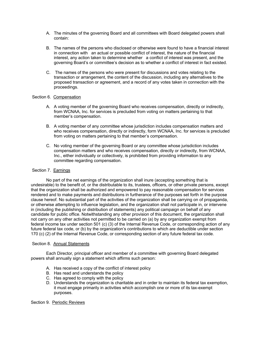- A. The minutes of the governing Board and all committees with Board delegated powers shall contain:
- B. The names of the persons who disclosed or otherwise were found to have a financial interest in connection with an actual or possible conflict of interest, the nature of the financial interest, any action taken to determine whether a conflict of interest was present, and the governing Board's or committee's decision as to whether a conflict of interest in fact existed.
- C. The names of the persons who were present for discussions and votes relating to the transaction or arrangement, the content of the discussion, including any alternatives to the proposed transaction or agreement, and a record of any votes taken in connection with the proceedings.

# Section 6. Compensation

- A. A voting member of the governing Board who receives compensation, directly or indirectly, from WCNAA, Inc. for services is precluded from voting on matters pertaining to that member's compensation.
- B. A voting member of any committee whose jurisdiction includes compensation matters and who receives compensation, directly or indirectly, form WCNAA, Inc. for services is precluded from voting on matters pertaining to that member's compensation.
- C. No voting member of the governing Board or any committee whose jurisdiction includes compensation matters and who receives compensation, directly or indirectly, from WCNAA, Inc., either individually or collectively, is prohibited from providing information to any committee regarding compensation.

# Section 7. Earnings

No part of the net earnings of the organization shall inure (accepting something that is undesirable) to the benefit of, or the distributable to its, trustees, officers, or other private persons, except that the organization shall be authorized and empowered to pay reasonable compensation for services rendered and to make payments and distributions in furtherance of the purposes set forth in the purpose clause hereof. No substantial part of the activities of the organization shall be carrying on of propaganda, or otherwise attempting to influence legislation, and the organization shall not participate in, or intervene in (including the publishing or distribution of statements) any political campaign on behalf of any candidate for public office. Notwithstanding any other provision of this document, the organization shall not carry on any other activities not permitted to be carried on (a) by any organization exempt from federal income tax under section 501 (c) (3) of the Internal Revenue Code, or corresponding action of any future federal tax code, or (b) by the organization's contributions to which are deductible under section 170 (c) (2) of the Internal Revenue Code, or corresponding section of any future federal tax code.

# Section 8. Annual Statements

Each Director, principal officer and member of a committee with governing Board delegated powers shall annually sign a statement which affirms such person:

- A. Has received a copy of the conflict of interest policy
- B. Has read and understands the policy
- C. Has agreed to comply with the policy
- D. Understands the organization is charitable and in order to maintain its federal tax exemption, it must engage primarily in activities which accomplish one or more of its tax-exempt purposes.

Section 9. Periodic Reviews